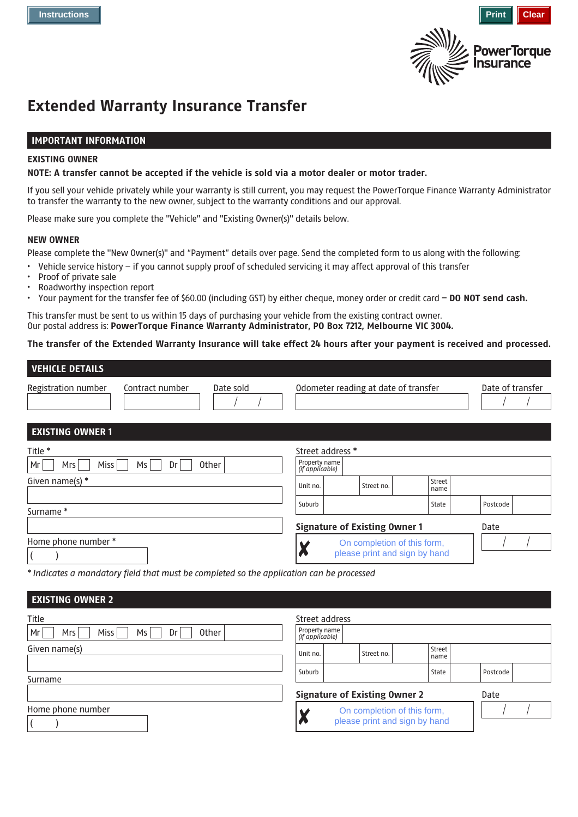



State | Postcode

# **Extended Warranty Insurance Transfer**

## **IMPORTANT INFORMATION**

#### **EXISTING OWNER**

#### **NOTE: A transfer cannot be accepted if the vehicle is sold via a motor dealer or motor trader.**

If you sell your vehicle privately while your warranty is still current, you may request the PowerTorque Finance Warranty Administrator to transfer the warranty to the new owner, subject to the warranty conditions and our approval.

Please make sure you complete the "Vehicle" and "Existing Owner(s)" details below.

#### **NEW OWNER**

Surname \*

Please complete the "New Owner(s)" and "Payment" details over page. Send the completed form to us along with the following:

- Vehicle service history if you cannot supply proof of scheduled servicing it may affect approval of this transfer
- Proof of private sale
- Roadworthy inspection report
- Your payment for the transfer fee of \$60.00 (including GST) by either cheque, money order or credit card **DO NOT send cash.**

This transfer must be sent to us within 15 days of purchasing your vehicle from the existing contract owner. Our postal address is: **PowerTorque Finance Warranty Administrator, PO Box 7212, Melbourne VIC 3004.**

## **The transfer of the Extended Warranty Insurance will take effect 24 hours after your payment is received and processed.**

| <b>VEHICLE DETAILS</b>  |                 |              |                                  |                  |            |                                      |                |  |                  |
|-------------------------|-----------------|--------------|----------------------------------|------------------|------------|--------------------------------------|----------------|--|------------------|
| Registration number     | Contract number | Date sold    |                                  |                  |            | Odometer reading at date of transfer |                |  | Date of transfer |
| <b>EXISTING OWNER 1</b> |                 |              |                                  |                  |            |                                      |                |  |                  |
| Title *                 |                 |              |                                  | Street address * |            |                                      |                |  |                  |
| Miss<br>l Mr<br>Mrs     | Ms<br>Dr        | <b>Other</b> | Property name<br>(if applicable) |                  |            |                                      |                |  |                  |
| Given name(s) *         |                 |              | Unit no.                         |                  | Street no. |                                      | Street<br>name |  |                  |
|                         |                 |              |                                  |                  |            |                                      |                |  |                  |

Suburb

|                     | <b>Signature of Existing Owner 1</b> | Date |
|---------------------|--------------------------------------|------|
| Home phone number * | On completion of this form,          |      |
|                     | please print and sign by hand        |      |

*\* Indicates a mandatory field that must be completed so the application can be processed*

| <b>EXISTING OWNER 2</b>                                       |                                                    |                                      |                |                  |
|---------------------------------------------------------------|----------------------------------------------------|--------------------------------------|----------------|------------------|
| Title<br><b>Other</b><br>Mr<br><b>Miss</b><br>Ms<br>Mrs<br>Dr | Street address<br>Property name<br>(if applicable) |                                      |                |                  |
| Given name(s)                                                 | Unit no.                                           | Street no.                           | Street<br>name |                  |
| Surname                                                       | Suburb                                             | <b>Signature of Existing Owner 2</b> | State          | Postcode<br>Date |
| Home phone number                                             |                                                    | please print and sign by hand        |                |                  |